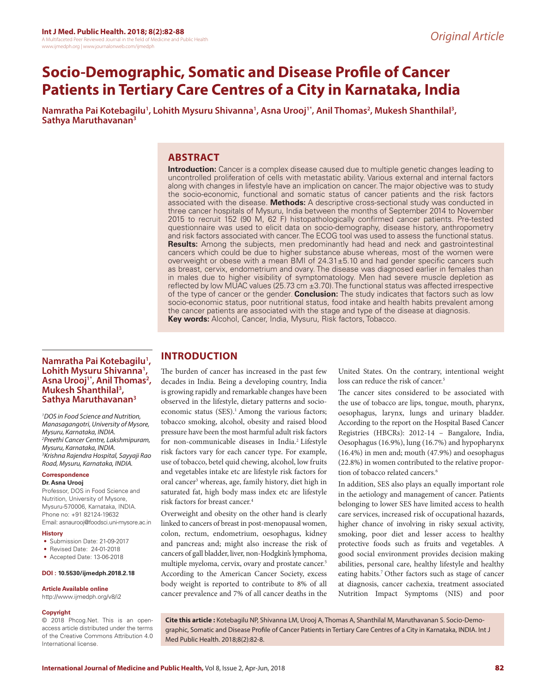# **Socio-Demographic, Somatic and Disease Profile of Cancer Patients in Tertiary Care Centres of a City in Karnataka, India**

Namratha Pai Kotebagilu<sup>1</sup>, Lohith Mysuru Shivanna<sup>1</sup>, Asna Urooj<sup>1\*</sup>, Anil Thomas<sup>2</sup>, Mukesh Shanthilal<sup>3</sup>, **Sathya Maruthavanan3**

# **ABSTRACT**

**Introduction:** Cancer is a complex disease caused due to multiple genetic changes leading to uncontrolled proliferation of cells with metastatic ability. Various external and internal factors along with changes in lifestyle have an implication on cancer. The major objective was to study the socio-economic, functional and somatic status of cancer patients and the risk factors associated with the disease. **Methods:** A descriptive cross-sectional study was conducted in three cancer hospitals of Mysuru, India between the months of September 2014 to November 2015 to recruit 152 (90 M, 62 F) histopathologically confirmed cancer patients. Pre-tested questionnaire was used to elicit data on socio-demography, disease history, anthropometry and risk factors associated with cancer. The ECOG tool was used to assess the functional status. **Results:** Among the subjects, men predominantly had head and neck and gastrointestinal cancers which could be due to higher substance abuse whereas, most of the women were overweight or obese with a mean BMI of 24.31±5.10 and had gender specific cancers such as breast, cervix, endometrium and ovary. The disease was diagnosed earlier in females than in males due to higher visibility of symptomatology. Men had severe muscle depletion as reflected by low MUAC values (25.73 cm ±3.70). The functional status was affected irrespective of the type of cancer or the gender. **Conclusion:** The study indicates that factors such as low socio-economic status, poor nutritional status, food intake and health habits prevalent among the cancer patients are associated with the stage and type of the disease at diagnosis. **Key words:** Alcohol, Cancer, India, Mysuru, Risk factors, Tobacco.

## **Namratha Pai Kotebagilu1 , Lohith Mysuru Shivanna1** Lohith Mysuru Shivanna<sup>1</sup>, Asna Urooj<sup>1\*</sup>, Anil Thomas<sup>2</sup>, **Mukesh Shanthilal3 , Sathya Maruthavanan3**

*1 DOS in Food Science and Nutrition, Manasagangotri, University of Mysore, Mysuru, Karnataka, INDIA. 2 Preethi Cancer Centre, Lakshmipuram, Mysuru, Karnataka, INDIA. 3 Krishna Rajendra Hospital, Sayyaji Rao Road, Mysuru, Karnataka, INDIA.*

#### **Correspondence Dr. Asna Urooj**

Professor, DOS in Food Science and Nutrition, University of Mysore, Mysuru-570006, Karnataka, INDIA. Phone no: +91 82124-19632 Email: asnaurooj@foodsci.uni-mysore.ac.in

#### **History**

- Submission Date: 21-09-2017
- Revised Date: 24-01-2018
- Accepted Date: 13-06-2018

#### **DOI : 10.5530/ijmedph.2018.2.18**

#### **Article Available online**

http://www.ijmedph.org/v8/i2

#### **Copyright**

© 2018 Phcog.Net. This is an openaccess article distributed under the terms of the Creative Commons Attribution 4.0 International license.

# **INTRODUCTION**

The burden of cancer has increased in the past few decades in India. Being a developing country, India is growing rapidly and remarkable changes have been observed in the lifestyle, dietary patterns and socioeconomic status (SES).<sup>1</sup> Among the various factors; tobacco smoking, alcohol, obesity and raised blood pressure have been the most harmful adult risk factors for non-communicable diseases in India.2 Lifestyle risk factors vary for each cancer type. For example, use of tobacco, betel quid chewing, alcohol, low fruits and vegetables intake etc are lifestyle risk factors for oral cancer<sup>3</sup> whereas, age, family history, diet high in saturated fat, high body mass index etc are lifestyle risk factors for breast cancer.4

Overweight and obesity on the other hand is clearly linked to cancers of breast in post-menopausal women, colon, rectum, endometrium, oesophagus, kidney and pancreas and; might also increase the risk of cancers of gall bladder, liver, non-Hodgkin's lymphoma, multiple myeloma, cervix, ovary and prostate cancer.<sup>5</sup> According to the American Cancer Society, excess body weight is reported to contribute to 8% of all cancer prevalence and 7% of all cancer deaths in the

United States. On the contrary, intentional weight loss can reduce the risk of cancer.<sup>5</sup>

The cancer sites considered to be associated with the use of tobacco are lips, tongue, mouth, pharynx, oesophagus, larynx, lungs and urinary bladder. According to the report on the Hospital Based Cancer Registries (HBCRs): 2012-14 – Bangalore, India, Oesophagus (16.9%), lung (16.7%) and hypopharynx (16.4%) in men and; mouth (47.9%) and oesophagus (22.8%) in women contributed to the relative proportion of tobacco related cancers.<sup>6</sup>

In addition, SES also plays an equally important role in the aetiology and management of cancer. Patients belonging to lower SES have limited access to health care services, increased risk of occupational hazards, higher chance of involving in risky sexual activity, smoking, poor diet and lesser access to healthy protective foods such as fruits and vegetables. A good social environment provides decision making abilities, personal care, healthy lifestyle and healthy eating habits.<sup>7</sup> Other factors such as stage of cancer at diagnosis, cancer cachexia, treatment associated Nutrition Impact Symptoms (NIS) and poor

**Cite this article :** Kotebagilu NP, Shivanna LM, Urooj A, Thomas A, Shanthilal M, Maruthavanan S. Socio-Demographic, Somatic and Disease Profile of Cancer Patients in Tertiary Care Centres of a City in Karnataka, INDIA. Int J Med Public Health. 2018;8(2):82-8.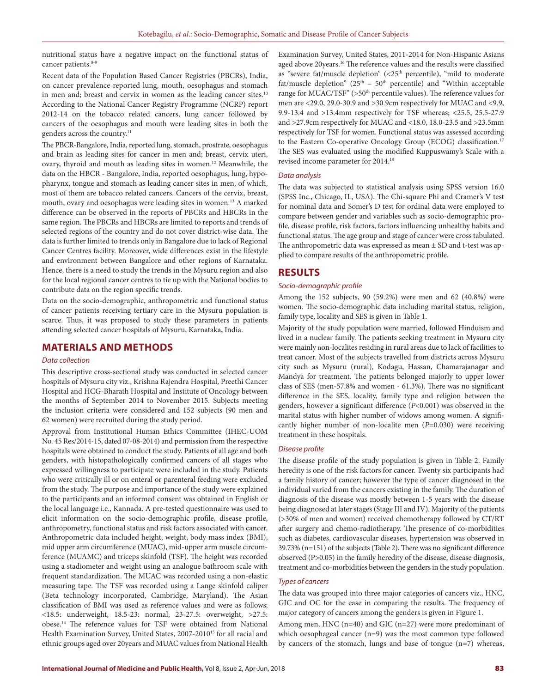nutritional status have a negative impact on the functional status of cancer patients.<sup>8-9</sup>

Recent data of the Population Based Cancer Registries (PBCRs), India, on cancer prevalence reported lung, mouth, oesophagus and stomach in men and; breast and cervix in women as the leading cancer sites.<sup>10</sup> According to the National Cancer Registry Programme (NCRP) report 2012-14 on the tobacco related cancers, lung cancer followed by cancers of the oesophagus and mouth were leading sites in both the genders across the country.<sup>11</sup>

The PBCR-Bangalore, India, reported lung, stomach, prostrate, oesophagus and brain as leading sites for cancer in men and; breast, cervix uteri, ovary, thyroid and mouth as leading sites in women.12 Meanwhile, the data on the HBCR - Bangalore, India, reported oesophagus, lung, hypopharynx, tongue and stomach as leading cancer sites in men, of which, most of them are tobacco related cancers. Cancers of the cervix, breast, mouth, ovary and oesophagus were leading sites in women.13 A marked difference can be observed in the reports of PBCRs and HBCRs in the same region. The PBCRs and HBCRs are limited to reports and trends of selected regions of the country and do not cover district-wise data. The data is further limited to trends only in Bangalore due to lack of Regional Cancer Centres facility. Moreover, wide differences exist in the lifestyle and environment between Bangalore and other regions of Karnataka. Hence, there is a need to study the trends in the Mysuru region and also for the local regional cancer centres to tie up with the National bodies to contribute data on the region specific trends.

Data on the socio-demographic, anthropometric and functional status of cancer patients receiving tertiary care in the Mysuru population is scarce. Thus, it was proposed to study these parameters in patients attending selected cancer hospitals of Mysuru, Karnataka, India.

# **MATERIALS AND METHODS**

## *Data collection*

This descriptive cross-sectional study was conducted in selected cancer hospitals of Mysuru city viz., Krishna Rajendra Hospital, Preethi Cancer Hospital and HCG-Bharath Hospital and Institute of Oncology between the months of September 2014 to November 2015. Subjects meeting the inclusion criteria were considered and 152 subjects (90 men and 62 women) were recruited during the study period.

Approval from Institutional Human Ethics Committee (IHEC-UOM No. 45 Res/2014-15, dated 07-08-2014) and permission from the respective hospitals were obtained to conduct the study. Patients of all age and both genders, with histopathologically confirmed cancers of all stages who expressed willingness to participate were included in the study. Patients who were critically ill or on enteral or parenteral feeding were excluded from the study. The purpose and importance of the study were explained to the participants and an informed consent was obtained in English or the local language i.e., Kannada. A pre-tested questionnaire was used to elicit information on the socio-demographic profile, disease profile, anthropometry, functional status and risk factors associated with cancer. Anthropometric data included height, weight, body mass index (BMI), mid upper arm circumference (MUAC), mid-upper arm muscle circumference (MUAMC) and triceps skinfold (TSF). The height was recorded using a stadiometer and weight using an analogue bathroom scale with frequent standardization. The MUAC was recorded using a non-elastic measuring tape. The TSF was recorded using a Lange skinfold caliper (Beta technology incorporated, Cambridge, Maryland). The Asian classification of BMI was used as reference values and were as follows; <18.5: underweight, 18.5-23: normal, 23-27.5: overweight, >27.5: obese.14 The reference values for TSF were obtained from National Health Examination Survey, United States, 2007-2010<sup>15</sup> for all racial and ethnic groups aged over 20years and MUAC values from National Health

Examination Survey, United States, 2011-2014 for Non-Hispanic Asians aged above 20years.<sup>16</sup> The reference values and the results were classified as "severe fat/muscle depletion" (<25<sup>th</sup> percentile), "mild to moderate fat/muscle depletion" ( $25<sup>th</sup> - 50<sup>th</sup>$  percentile) and "Within acceptable range for MUAC/TSF" (>50<sup>th</sup> percentile values). The reference values for men are <29.0, 29.0-30.9 and >30.9cm respectively for MUAC and <9.9, 9.9-13.4 and >13.4mm respectively for TSF whereas; <25.5, 25.5-27.9 and >27.9cm respectively for MUAC and <18.0, 18.0-23.5 and >23.5mm respectively for TSF for women. Functional status was assessed according to the Eastern Co-operative Oncology Group (ECOG) classification.<sup>17</sup> The SES was evaluated using the modified Kuppuswamy's Scale with a revised income parameter for 2014.18

#### *Data analysis*

The data was subjected to statistical analysis using SPSS version 16.0 (SPSS Inc., Chicago, IL, USA). The Chi-square Phi and Cramer's V test for nominal data and Somer's D test for ordinal data were employed to compare between gender and variables such as socio-demographic profile, disease profile, risk factors, factors influencing unhealthy habits and functional status. The age group and stage of cancer were cross tabulated. The anthropometric data was expressed as mean  $\pm$  SD and t-test was applied to compare results of the anthropometric profile.

#### **RESULTS**

#### *Socio-demographic profile*

Among the 152 subjects, 90 (59.2%) were men and 62 (40.8%) were women. The socio-demographic data including marital status, religion, family type, locality and SES is given in Table 1.

Majority of the study population were married, followed Hinduism and lived in a nuclear family. The patients seeking treatment in Mysuru city were mainly non-localites residing in rural areas due to lack of facilities to treat cancer. Most of the subjects travelled from districts across Mysuru city such as Mysuru (rural), Kodagu, Hassan, Chamarajanagar and Mandya for treatment. The patients belonged majorly to upper lower class of SES (men-57.8% and women - 61.3%). There was no significant difference in the SES, locality, family type and religion between the genders, however a significant difference (*P*<0.001) was observed in the marital status with higher number of widows among women. A significantly higher number of non-localite men (*P*=0.030) were receiving treatment in these hospitals.

## *Disease profile*

The disease profile of the study population is given in Table 2. Family heredity is one of the risk factors for cancer. Twenty six participants had a family history of cancer; however the type of cancer diagnosed in the individual varied from the cancers existing in the family. The duration of diagnosis of the disease was mostly between 1-5 years with the disease being diagnosed at later stages (Stage III and IV). Majority of the patients (>30% of men and women) received chemotherapy followed by CT/RT after surgery and chemo-radiotherapy. The presence of co-morbidities such as diabetes, cardiovascular diseases, hypertension was observed in 39.73% (n=151) of the subjects (Table 2). There was no significant difference observed (P>0.05) in the family heredity of the disease, disease diagnosis, treatment and co-morbidities between the genders in the study population.

#### *Types of cancers*

The data was grouped into three major categories of cancers viz., HNC, GIC and OC for the ease in comparing the results. The frequency of major category of cancers among the genders is given in Figure 1.

Among men, HNC (n=40) and GIC (n=27) were more predominant of which oesophageal cancer (n=9) was the most common type followed by cancers of the stomach, lungs and base of tongue (n=7) whereas,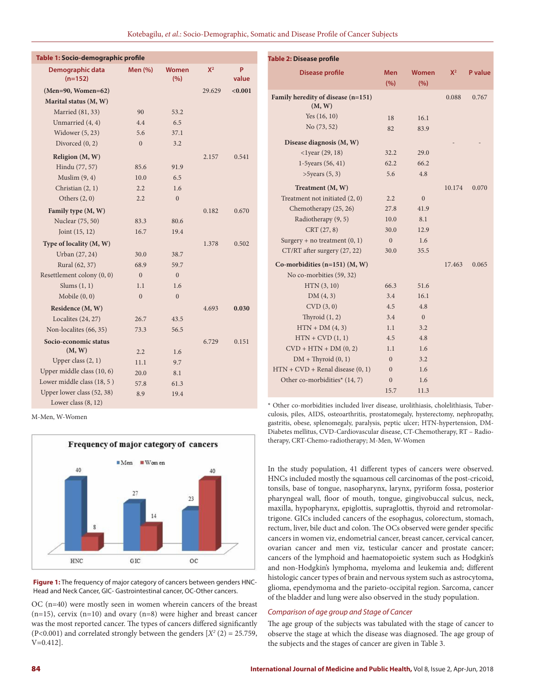Kotebagilu, *et al*.: Socio-Demographic, Somatic and Disease Profile of Cancer Subjects

| Table 1: Socio-demographic profile |                |                     |        |            | <b>Table 2: Disease profile</b>                                                    |                   |                     |        |         |
|------------------------------------|----------------|---------------------|--------|------------|------------------------------------------------------------------------------------|-------------------|---------------------|--------|---------|
| Demographic data<br>$(n=152)$      | <b>Men</b> (%) | <b>Women</b><br>(%) | $X^2$  | P<br>value | <b>Disease profile</b>                                                             | <b>Men</b><br>(%) | <b>Women</b><br>(%) | $X^2$  | P value |
| $(Men=90, Women=62)$               |                |                     | 29.629 | < 0.001    |                                                                                    |                   |                     |        |         |
| Marital status (M, W)              |                |                     |        |            | Family heredity of disease (n=151)<br>(M, W)                                       |                   |                     | 0.088  | 0.767   |
| Married (81, 33)                   | 90             | 53.2                |        |            | Yes $(16, 10)$                                                                     | 18                | 16.1                |        |         |
| Unmarried (4, 4)                   | 4.4            | 6.5                 |        |            | No (73, 52)                                                                        | 82                | 83.9                |        |         |
| Widower (5, 23)                    | 5.6            | 37.1                |        |            |                                                                                    |                   |                     |        |         |
| Divorced $(0, 2)$                  | $\mathbf{0}$   | 3.2                 |        |            | Disease diagnosis (M, W)                                                           |                   |                     |        |         |
| Religion (M, W)                    |                |                     | 2.157  | 0.541      | $<$ 1year (29, 18)                                                                 | 32.2              | 29.0                |        |         |
| Hindu (77, 57)                     | 85.6           | 91.9                |        |            | 1-5years (56, 41)                                                                  | 62.2              | 66.2                |        |         |
| Muslim $(9, 4)$                    | 10.0           | 6.5                 |        |            | $>5$ years $(5, 3)$                                                                | 5.6               | 4.8                 |        |         |
| Christian (2, 1)                   | 2.2            | 1.6                 |        |            | Treatment (M, W)                                                                   |                   |                     | 10.174 | 0.070   |
| Others $(2, 0)$                    | 2.2            | $\mathbf{0}$        |        |            | Treatment not initiated (2, 0)                                                     | 2.2               | $\mathbf{0}$        |        |         |
| Family type (M, W)                 |                |                     | 0.182  | 0.670      | Chemotherapy (25, 26)                                                              | 27.8              | 41.9                |        |         |
| Nuclear (75, 50)                   | 83.3           | 80.6                |        |            | Radiotherapy (9, 5)                                                                | 10.0              | 8.1                 |        |         |
| Joint $(15, 12)$                   | 16.7           | 19.4                |        |            | CRT (27, 8)                                                                        | 30.0              | 12.9                |        |         |
| Type of locality (M, W)            |                |                     | 1.378  | 0.502      | Surgery + no treatment $(0, 1)$                                                    | $\mathbf{0}$      | 1.6                 |        |         |
| Urban (27, 24)                     | 30.0           | 38.7                |        |            | CT/RT after surgery (27, 22)                                                       | 30.0              | 35.5                |        |         |
| Rural (62, 37)                     | 68.9           | 59.7                |        |            | Co-morbidities $(n=151)$ $(M, W)$                                                  |                   |                     | 17.463 | 0.065   |
| Resettlement colony (0, 0)         | $\overline{0}$ | $\mathbf{0}$        |        |            | No co-morbities (59, 32)                                                           |                   |                     |        |         |
| Slums $(1, 1)$                     | 1.1            | 1.6                 |        |            | HTN(3, 10)                                                                         | 66.3              | 51.6                |        |         |
| Mobile $(0, 0)$                    | $\mathbf{0}$   | $\mathbf{0}$        |        |            | DM(4, 3)                                                                           | 3.4               | 16.1                |        |         |
| Residence (M, W)                   |                |                     | 4.693  | 0.030      | CVD(3,0)                                                                           | 4.5               | 4.8                 |        |         |
| Localites (24, 27)                 | 26.7           | 43.5                |        |            | Thyroid $(1, 2)$                                                                   | 3.4               | $\mathbf{0}$        |        |         |
| Non-localites (66, 35)             | 73.3           | 56.5                |        |            | $HTN + DM(4, 3)$                                                                   | 1.1               | 3.2                 |        |         |
| Socio-economic status              |                |                     | 6.729  | 0.151      | $HTN + CVD(1, 1)$                                                                  | 4.5               | 4.8                 |        |         |
| (M, W)                             | 2.2            | 1.6                 |        |            | $CVD + HTN + DM (0, 2)$                                                            | 1.1               | 1.6                 |        |         |
| Upper class $(2, 1)$               | 11.1           | 9.7                 |        |            | $DM + Thyroid (0, 1)$                                                              | $\boldsymbol{0}$  | 3.2                 |        |         |
| Upper middle class (10, 6)         | 20.0           | 8.1                 |        |            | $HTN + CVD + Renal disease (0, 1)$                                                 | $\mathbf{0}$      | 1.6                 |        |         |
| Lower middle class (18, 5)         | 57.8           | 61.3                |        |            | Other co-morbidities* (14, 7)                                                      | $\mathbf{0}$      | 1.6                 |        |         |
| Upper lower class (52, 38)         | 8.9            | 19.4                |        |            |                                                                                    | 15.7              | 11.3                |        |         |
| Lower class $(8, 12)$              |                |                     |        |            | * Other co-morbidities included liver disease, urolithiasis, cholelithiasis, Tuber |                   |                     |        |         |

M-Men, W-Women



**Figure 1:** The frequency of major category of cancers between genders HNC-Head and Neck Cancer, GIC- Gastrointestinal cancer, OC-Other cancers.

OC (n=40) were mostly seen in women wherein cancers of the breast  $(n=15)$ , cervix  $(n=10)$  and ovary  $(n=8)$  were higher and breast cancer was the most reported cancer. The types of cancers differed significantly  $(P<0.001)$  and correlated strongly between the genders  $[X^2(2) = 25.759,$ V=0.412].

\* Other co-morbidities included liver disease, urolithiasis, cholelithiasis, Tuberculosis, piles, AIDS, osteoarthritis, prostatomegaly, hysterectomy, nephropathy, gastritis, obese, splenomegaly, paralysis, peptic ulcer; HTN-hypertension, DM-Diabetes mellitus, CVD-Cardiovascular disease, CT-Chemotherapy, RT – Radiotherapy, CRT-Chemo-radiotherapy; M-Men, W-Women

In the study population, 41 different types of cancers were observed. HNCs included mostly the squamous cell carcinomas of the post-cricoid, tonsils, base of tongue, nasopharynx, larynx, pyriform fossa, posterior pharyngeal wall, floor of mouth, tongue, gingivobuccal sulcus, neck, maxilla, hypopharynx, epiglottis, supraglottis, thyroid and retromolartrigone. GICs included cancers of the esophagus, colorectum, stomach, rectum, liver, bile duct and colon. The OCs observed were gender specific cancers in women viz, endometrial cancer, breast cancer, cervical cancer, ovarian cancer and men viz, testicular cancer and prostate cancer; cancers of the lymphoid and haematopoietic system such as Hodgkin's and non-Hodgkin's lymphoma, myeloma and leukemia and; different histologic cancer types of brain and nervous system such as astrocytoma, glioma, ependymoma and the parieto-occipital region. Sarcoma, cancer of the bladder and lung were also observed in the study population.

#### *Comparison of age group and Stage of Cancer*

The age group of the subjects was tabulated with the stage of cancer to observe the stage at which the disease was diagnosed. The age group of the subjects and the stages of cancer are given in Table 3.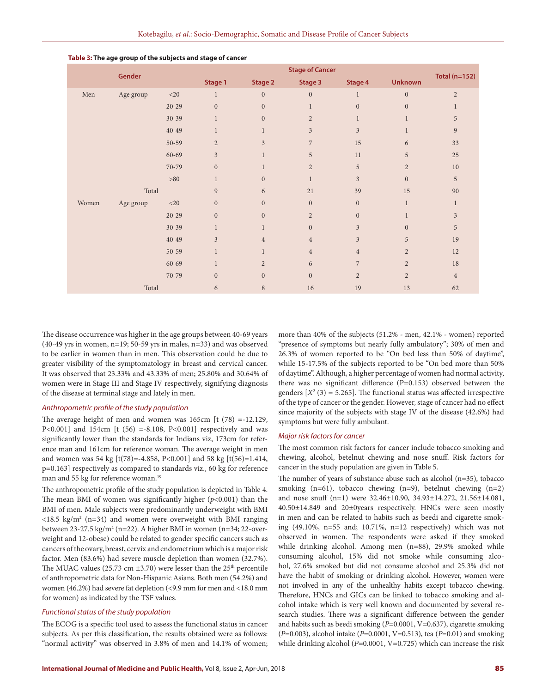| Gender |           | <b>Stage of Cancer</b> |                  |                  |                  |                  | Total ( $n=152$ ) |                  |
|--------|-----------|------------------------|------------------|------------------|------------------|------------------|-------------------|------------------|
|        |           | Stage 1                | Stage 2          | Stage 3          | Stage 4          | <b>Unknown</b>   |                   |                  |
| Men    | Age group | ${<}20$                | $\mathbf{1}$     | $\boldsymbol{0}$ | $\mathbf{0}$     | $\mathbf{1}$     | $\boldsymbol{0}$  | $\overline{2}$   |
|        |           | $20 - 29$              | $\boldsymbol{0}$ | $\boldsymbol{0}$ | $\mathbf{1}$     | $\boldsymbol{0}$ | $\boldsymbol{0}$  | $\mathbf{1}$     |
|        |           | $30 - 39$              | $\mathbf{1}$     | $\boldsymbol{0}$ | $\overline{2}$   | 1                | $\mathbf{1}$      | 5                |
|        |           | 40-49                  | $\mathbf{1}$     | $\mathbf{1}$     | 3                | $\mathfrak{Z}$   | $\mathbf{1}$      | $\boldsymbol{9}$ |
|        |           | 50-59                  | $\overline{2}$   | $\mathfrak{Z}$   | $\overline{7}$   | 15               | 6                 | 33               |
|        |           | 60-69                  | $\overline{3}$   | $\mathbf{1}$     | 5                | 11               | $\sqrt{5}$        | 25               |
|        |           | 70-79                  | $\boldsymbol{0}$ | $\mathbf{1}$     | $\overline{c}$   | 5                | $\overline{2}$    | 10               |
|        |           | >80                    | $\mathbf{1}$     | $\mathbf{0}$     | $\mathbf 1$      | 3                | $\boldsymbol{0}$  | 5                |
|        | Total     |                        | 9                | 6                | 21               | 39               | 15                | 90               |
| Women  | Age group | $<$ 20 $\,$            | $\boldsymbol{0}$ | $\overline{0}$   | $\boldsymbol{0}$ | $\boldsymbol{0}$ | $\mathbf{1}$      | $\mathbf{1}$     |
|        |           | $20 - 29$              | $\overline{0}$   | $\overline{0}$   | $\overline{c}$   | $\boldsymbol{0}$ | $\mathbf{1}$      | $\mathfrak{Z}$   |
|        |           | $30 - 39$              | $\mathbf{1}$     | $\mathbf{1}$     | $\overline{0}$   | $\overline{3}$   | $\overline{0}$    | 5                |
|        |           | $40 - 49$              | $\overline{3}$   | $\overline{4}$   | $\overline{4}$   | 3                | 5                 | 19               |
|        |           | 50-59                  | $\mathbf{1}$     | $\mathbf{1}$     | $\overline{4}$   | $\overline{4}$   | $\overline{2}$    | 12               |
|        |           | 60-69                  | $\mathbf{1}$     | $\overline{2}$   | 6                | 7                | $\overline{2}$    | 18               |
|        |           | 70-79                  | $\boldsymbol{0}$ | $\overline{0}$   | $\overline{0}$   | $\overline{2}$   | $\overline{2}$    | $\overline{4}$   |
|        | Total     |                        | $\boldsymbol{6}$ | 8                | 16               | 19               | 13                | 62               |

#### **Table 3: The age group of the subjects and stage of cancer**

The disease occurrence was higher in the age groups between 40-69 years  $(40-49 \text{ yrs in women}, n=19; 50-59 \text{ yrs in males}, n=33)$  and was observed to be earlier in women than in men. This observation could be due to greater visibility of the symptomatology in breast and cervical cancer. It was observed that 23.33% and 43.33% of men; 25.80% and 30.64% of women were in Stage III and Stage IV respectively, signifying diagnosis of the disease at terminal stage and lately in men.

#### *Anthropometric profile of the study population*

The average height of men and women was  $165cm$  [t (78) =-12.129, P<0.001] and 154cm [t (56) =-8.108, P<0.001] respectively and was significantly lower than the standards for Indians viz, 173cm for reference man and 161cm for reference woman. The average weight in men and women was 54 kg [t(78)=-4.858, P<0.001] and 58 kg [t(56)=1.414, p=0.163] respectively as compared to standards viz., 60 kg for reference man and 55 kg for reference woman.<sup>19</sup>

The anthropometric profile of the study population is depicted in Table 4. The mean BMI of women was significantly higher (*p*<0.001) than the BMI of men. Male subjects were predominantly underweight with BMI  $\langle 18.5 \text{ kg/m}^2 \text{ (n=34)}$  and women were overweight with BMI ranging between 23-27.5 kg/m² (n=22). A higher BMI in women (n=34; 22-overweight and 12-obese) could be related to gender specific cancers such as cancers of the ovary, breast, cervix and endometrium which is a major risk factor. Men (83.6%) had severe muscle depletion than women (32.7%). The MUAC values (25.73 cm  $\pm$ 3.70) were lesser than the 25<sup>th</sup> percentile of anthropometric data for Non-Hispanic Asians. Both men (54.2%) and women (46.2%) had severe fat depletion (<9.9 mm for men and <18.0 mm for women) as indicated by the TSF values.

#### *Functional status of the study population*

The ECOG is a specific tool used to assess the functional status in cancer subjects. As per this classification, the results obtained were as follows: "normal activity" was observed in 3.8% of men and 14.1% of women;

more than 40% of the subjects (51.2% - men, 42.1% - women) reported "presence of symptoms but nearly fully ambulatory"; 30% of men and 26.3% of women reported to be "On bed less than 50% of daytime", while 15-17.5% of the subjects reported to be "On bed more than 50% of daytime". Although, a higher percentage of women had normal activity, there was no significant difference (P=0.153) observed between the genders  $[X^2(3) = 5.265]$ . The functional status was affected irrespective of the type of cancer or the gender. However, stage of cancer had no effect since majority of the subjects with stage IV of the disease (42.6%) had symptoms but were fully ambulant.

#### *Major risk factors for cancer*

The most common risk factors for cancer include tobacco smoking and chewing, alcohol, betelnut chewing and nose snuff. Risk factors for cancer in the study population are given in Table 5.

The number of years of substance abuse such as alcohol (n=35), tobacco smoking (n=61), tobacco chewing (n=9), betelnut chewing (n=2) and nose snuff (n=1) were 32.46±10.90, 34.93±14.272, 21.56±14.081, 40.50±14.849 and 20±0years respectively. HNCs were seen mostly in men and can be related to habits such as beedi and cigarette smoking (49.10%, n=55 and; 10.71%, n=12 respectively) which was not observed in women. The respondents were asked if they smoked while drinking alcohol. Among men (n=88), 29.9% smoked while consuming alcohol, 15% did not smoke while consuming alcohol, 27.6% smoked but did not consume alcohol and 25.3% did not have the habit of smoking or drinking alcohol. However, women were not involved in any of the unhealthy habits except tobacco chewing. Therefore, HNCs and GICs can be linked to tobacco smoking and alcohol intake which is very well known and documented by several research studies. There was a significant difference between the gender and habits such as beedi smoking (*P*=0.0001, V=0.637), cigarette smoking (*P*=0.003), alcohol intake (*P*=0.0001, V=0.513), tea (*P*=0.01) and smoking while drinking alcohol (*P*=0.0001, V=0.725) which can increase the risk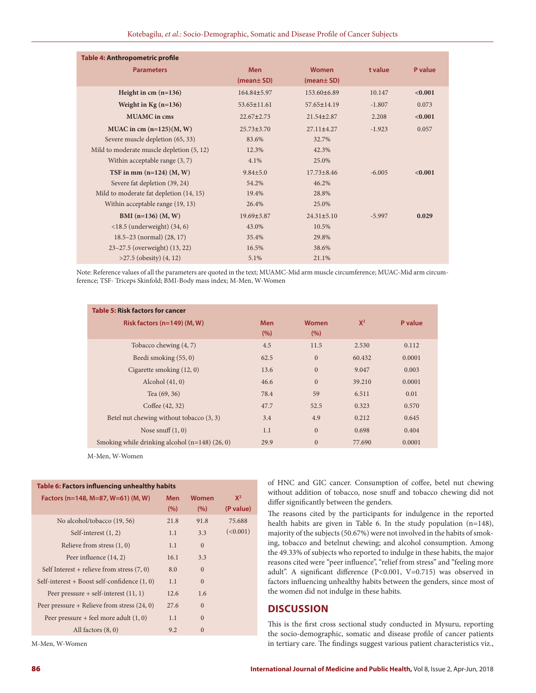| <b>Table 4: Anthropometric profile</b>       |                  |                  |          |         |
|----------------------------------------------|------------------|------------------|----------|---------|
| <b>Parameters</b>                            | <b>Men</b>       | Women            | t value  | P value |
|                                              | (mean± SD)       | (mean± SD)       |          |         |
| Height in cm $(n=136)$                       | 164.84±5.97      | 153.60±6.89      | 10.147   | < 0.001 |
| Weight in $Kg(n=136)$                        | 53.65±11.61      | 57.65±14.19      | $-1.807$ | 0.073   |
| <b>MUAMC</b> in cms                          | $22.67 \pm 2.73$ | $21.54 \pm 2.87$ | 2.208    | < 0.001 |
| MUAC in cm $(n=125)(M, W)$                   | $25.73 \pm 3.70$ | $27.11 \pm 4.27$ | $-1.923$ | 0.057   |
| Severe muscle depletion (65, 33)             | 83.6%            | 32.7%            |          |         |
| Mild to moderate muscle depletion (5, 12)    | 12.3%            | 42.3%            |          |         |
| Within acceptable range $(3, 7)$             | 4.1%             | 25.0%            |          |         |
| TSF in mm $(n=124)$ $(M, W)$                 | $9.84 \pm 5.0$   | $17.73 \pm 8.46$ | $-6.005$ | < 0.001 |
| Severe fat depletion (39, 24)                | 54.2%            | 46.2%            |          |         |
| Mild to moderate fat depletion (14, 15)      | 19.4%            | 28.8%            |          |         |
| Within acceptable range (19, 13)             | 26.4%            | 25.0%            |          |         |
| BMI $(n=136)$ $(M, W)$                       | $19.69 \pm 3.87$ | $24.31 \pm 5.10$ | $-5.997$ | 0.029   |
| $\langle 18.5 \rangle$ (underweight) (34, 6) | 43.0%            | 10.5%            |          |         |
| $18.5 - 23$ (normal) $(28, 17)$              | 35.4%            | 29.8%            |          |         |
| 23–27.5 (overweight) (13, 22)                | 16.5%            | 38.6%            |          |         |
| $>27.5$ (obesity) $(4, 12)$                  | 5.1%             | 21.1%            |          |         |

Note: Reference values of all the parameters are quoted in the text; MUAMC-Mid arm muscle circumference; MUAC-Mid arm circumference; TSF- Triceps Skinfold; BMI-Body mass index; M-Men, W-Women

| <b>Table 5: Risk factors for cancer</b>          |                     |                      |        |         |
|--------------------------------------------------|---------------------|----------------------|--------|---------|
| Risk factors $(n=149)$ (M, W)                    | <b>Men</b><br>(9/6) | <b>Women</b><br>(% ) | $X^2$  | P value |
| Tobacco chewing $(4, 7)$                         | 4.5                 | 11.5                 | 2.530  | 0.112   |
| Beedi smoking (55, 0)                            | 62.5                | $\overline{0}$       | 60.432 | 0.0001  |
| Cigarette smoking $(12, 0)$                      | 13.6                | $\overline{0}$       | 9.047  | 0.003   |
| Alcohol $(41, 0)$                                | 46.6                | $\Omega$             | 39.210 | 0.0001  |
| Tea (69, 36)                                     | 78.4                | 59                   | 6.511  | 0.01    |
| Coffee (42, 32)                                  | 47.7                | 52.5                 | 0.323  | 0.570   |
| Betel nut chewing without tobacco (3, 3)         | 3.4                 | 4.9                  | 0.212  | 0.645   |
| Nose snuff $(1, 0)$                              | 1.1                 | $\Omega$             | 0.698  | 0.404   |
| Smoking while drinking alcohol $(n=148)$ (26, 0) | 29.9                | $\overline{0}$       | 77.690 | 0.0001  |

M-Men, W-Women

| Table 6: Factors influencing unhealthy habits  |            |              |           |  |  |  |
|------------------------------------------------|------------|--------------|-----------|--|--|--|
| Factors (n=148, M=87, W=61) (M, W)             | <b>Men</b> | <b>Women</b> | $X^2$     |  |  |  |
|                                                | (%)        | (%)          | (P value) |  |  |  |
| No alcohol/tobacco (19, 56)                    | 21.8       | 91.8         | 75.688    |  |  |  |
| Self-interest $(1, 2)$                         | 1.1        | 3.3          | (<0.001)  |  |  |  |
| Relieve from stress $(1, 0)$                   | 1.1        | $\Omega$     |           |  |  |  |
| Peer influence $(14, 2)$                       | 16.1       | 3.3          |           |  |  |  |
| Self Interest + relieve from stress $(7, 0)$   | 8.0        | $\Omega$     |           |  |  |  |
| Self-interest + Boost self-confidence $(1, 0)$ | 1.1        | $\Omega$     |           |  |  |  |
| Peer pressure $+$ self-interest $(11, 1)$      | 12.6       | 1.6          |           |  |  |  |
| Peer pressure + Relieve from stress $(24, 0)$  | 27.6       | $\Omega$     |           |  |  |  |
| Peer pressure + feel more adult $(1, 0)$       | 1.1        | $\Omega$     |           |  |  |  |
| All factors $(8, 0)$                           | 9.2        | $\Omega$     |           |  |  |  |

M-Men, W-Women

of HNC and GIC cancer. Consumption of coffee, betel nut chewing without addition of tobacco, nose snuff and tobacco chewing did not differ significantly between the genders.

The reasons cited by the participants for indulgence in the reported health habits are given in Table 6. In the study population (n=148), majority of the subjects (50.67%) were not involved in the habits of smoking, tobacco and betelnut chewing; and alcohol consumption. Among the 49.33% of subjects who reported to indulge in these habits, the major reasons cited were "peer influence", "relief from stress" and "feeling more adult". A significant difference (P<0.001, V=0.715) was observed in factors influencing unhealthy habits between the genders, since most of the women did not indulge in these habits.

# **DISCUSSION**

This is the first cross sectional study conducted in Mysuru, reporting the socio-demographic, somatic and disease profile of cancer patients in tertiary care. The findings suggest various patient characteristics viz.,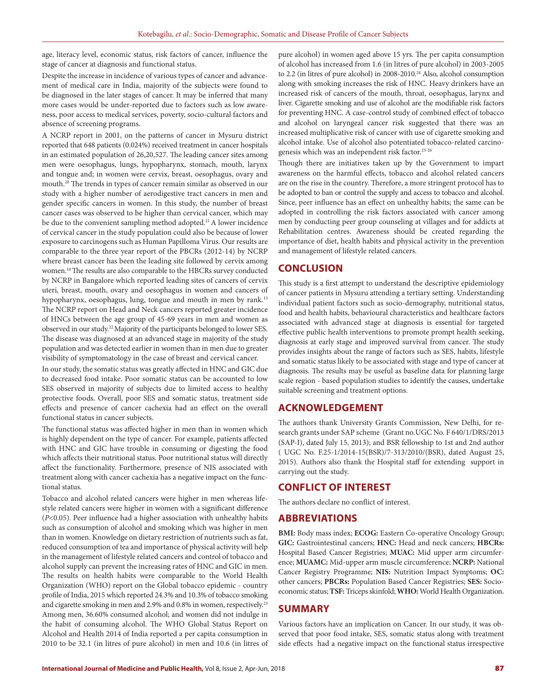age, literacy level, economic status, risk factors of cancer, influence the stage of cancer at diagnosis and functional status.

Despite the increase in incidence of various types of cancer and advancement of medical care in India, majority of the subjects were found to be diagnosed in the later stages of cancer. It may be inferred that many more cases would be under-reported due to factors such as low awareness, poor access to medical services, poverty, socio-cultural factors and absence of screening programs.

A NCRP report in 2001, on the patterns of cancer in Mysuru district reported that 648 patients (0.024%) received treatment in cancer hospitals in an estimated population of 26,20,527. The leading cancer sites among men were oesophagus, lungs, hypopharynx, stomach, mouth, larynx and tongue and; in women were cervix, breast, oesophagus, ovary and mouth.20 The trends in types of cancer remain similar as observed in our study with a higher number of aerodigestive tract cancers in men and gender specific cancers in women. In this study, the number of breast cancer cases was observed to be higher than cervical cancer, which may be due to the convenient sampling method adopted.<sup>21</sup> A lower incidence of cervical cancer in the study population could also be because of lower exposure to carcinogens such as Human Papilloma Virus. Our results are comparable to the three year report of the PBCRs (2012-14) by NCRP where breast cancer has been the leading site followed by cervix among women.10 The results are also comparable to the HBCRs survey conducted by NCRP in Bangalore which reported leading sites of cancers of cervix uteri, breast, mouth, ovary and oesophagus in women and cancers of hypopharynx, oesophagus, lung, tongue and mouth in men by rank.<sup>13</sup> The NCRP report on Head and Neck cancers reported greater incidence of HNCs between the age group of 45-69 years in men and women as observed in our study.22 Majority of the participants belonged to lower SES. The disease was diagnosed at an advanced stage in majority of the study population and was detected earlier in women than in men due to greater visibility of symptomatology in the case of breast and cervical cancer.

In our study, the somatic status was greatly affected in HNC and GIC due to decreased food intake. Poor somatic status can be accounted to low SES observed in majority of subjects due to limited access to healthy protective foods. Overall, poor SES and somatic status, treatment side effects and presence of cancer cachexia had an effect on the overall functional status in cancer subjects.

The functional status was affected higher in men than in women which is highly dependent on the type of cancer. For example, patients affected with HNC and GIC have trouble in consuming or digesting the food which affects their nutritional status. Poor nutritional status will directly affect the functionality. Furthermore, presence of NIS associated with treatment along with cancer cachexia has a negative impact on the functional status.

Tobacco and alcohol related cancers were higher in men whereas lifestyle related cancers were higher in women with a significant difference (*P*<0.05). Peer influence had a higher association with unhealthy habits such as consumption of alcohol and smoking which was higher in men than in women. Knowledge on dietary restriction of nutrients such as fat, reduced consumption of tea and importance of physical activity will help in the management of lifestyle related cancers and control of tobacco and alcohol supply can prevent the increasing rates of HNC and GIC in men. The results on health habits were comparable to the World Health Organization (WHO) report on the Global tobacco epidemic - country profile of India, 2015 which reported 24.3% and 10.3% of tobacco smoking and cigarette smoking in men and 2.9% and 0.8% in women, respectively.<sup>23</sup> Among men, 36.60% consumed alcohol; and women did not indulge in the habit of consuming alcohol. The WHO Global Status Report on Alcohol and Health 2014 of India reported a per capita consumption in 2010 to be 32.1 (in litres of pure alcohol) in men and 10.6 (in litres of

pure alcohol) in women aged above 15 yrs. The per capita consumption of alcohol has increased from 1.6 (in litres of pure alcohol) in 2003-2005 to 2.2 (in litres of pure alcohol) in 2008-2010.<sup>24</sup> Also, alcohol consumption along with smoking increases the risk of HNC. Heavy drinkers have an increased risk of cancers of the mouth, throat, oesophagus, larynx and liver. Cigarette smoking and use of alcohol are the modifiable risk factors for preventing HNC. A case-control study of combined effect of tobacco and alcohol on laryngeal cancer risk suggested that there was an increased multiplicative risk of cancer with use of cigarette smoking and alcohol intake. Use of alcohol also potentiated tobacco-related carcinogenesis which was an independent risk factor.25-26

Though there are initiatives taken up by the Government to impart awareness on the harmful effects, tobacco and alcohol related cancers are on the rise in the country. Therefore, a more stringent protocol has to be adopted to ban or control the supply and access to tobacco and alcohol. Since, peer influence has an effect on unhealthy habits; the same can be adopted in controlling the risk factors associated with cancer among men by conducting peer group counseling at villages and for addicts at Rehabilitation centres. Awareness should be created regarding the importance of diet, health habits and physical activity in the prevention and management of lifestyle related cancers.

## **CONCLUSION**

This study is a first attempt to understand the descriptive epidemiology of cancer patients in Mysuru attending a tertiary setting. Understanding individual patient factors such as socio-demography, nutritional status, food and health habits, behavioural characteristics and healthcare factors associated with advanced stage at diagnosis is essential for targeted effective public health interventions to promote prompt health seeking, diagnosis at early stage and improved survival from cancer. The study provides insights about the range of factors such as SES, habits, lifestyle and somatic status likely to be associated with stage and type of cancer at diagnosis. The results may be useful as baseline data for planning large scale region - based population studies to identify the causes, undertake suitable screening and treatment options.

# **ACKNOWLEDGEMENT**

The authors thank University Grants Commission, New Delhi, for research grants under SAP scheme (Grant no.UGC No. F 640/1/DRS/2013 (SAP-I), dated July 15, 2013); and BSR fellowship to 1st and 2nd author ( UGC No. F.25-1/2014-15(BSR)/7-313/2010/(BSR), dated August 25, 2015). Authors also thank the Hospital staff for extending support in carrying out the study.

# **CONFLICT OF INTEREST**

The authors declare no conflict of interest.

## **ABBREVIATIONS**

**BMI:** Body mass index; **ECOG:** Eastern Co-operative Oncology Group; **GIC:** Gastrointestinal cancers; **HNC:** Head and neck cancers; **HBCRs:** Hospital Based Cancer Registries; **MUAC:** Mid upper arm circumference; **MUAMC:** Mid-upper arm muscle circumference; **NCRP:** National Cancer Registry Programme; **NIS:** Nutrition Impact Symptoms; **OC:** other cancers; **PBCRs:** Population Based Cancer Registries; **SES:** Socioeconomic status; **TSF:** Triceps skinfold; **WHO:** World Health Organization.

# **SUMMARY**

Various factors have an implication on Cancer. In our study, it was observed that poor food intake, SES, somatic status along with treatment side effects had a negative impact on the functional status irrespective